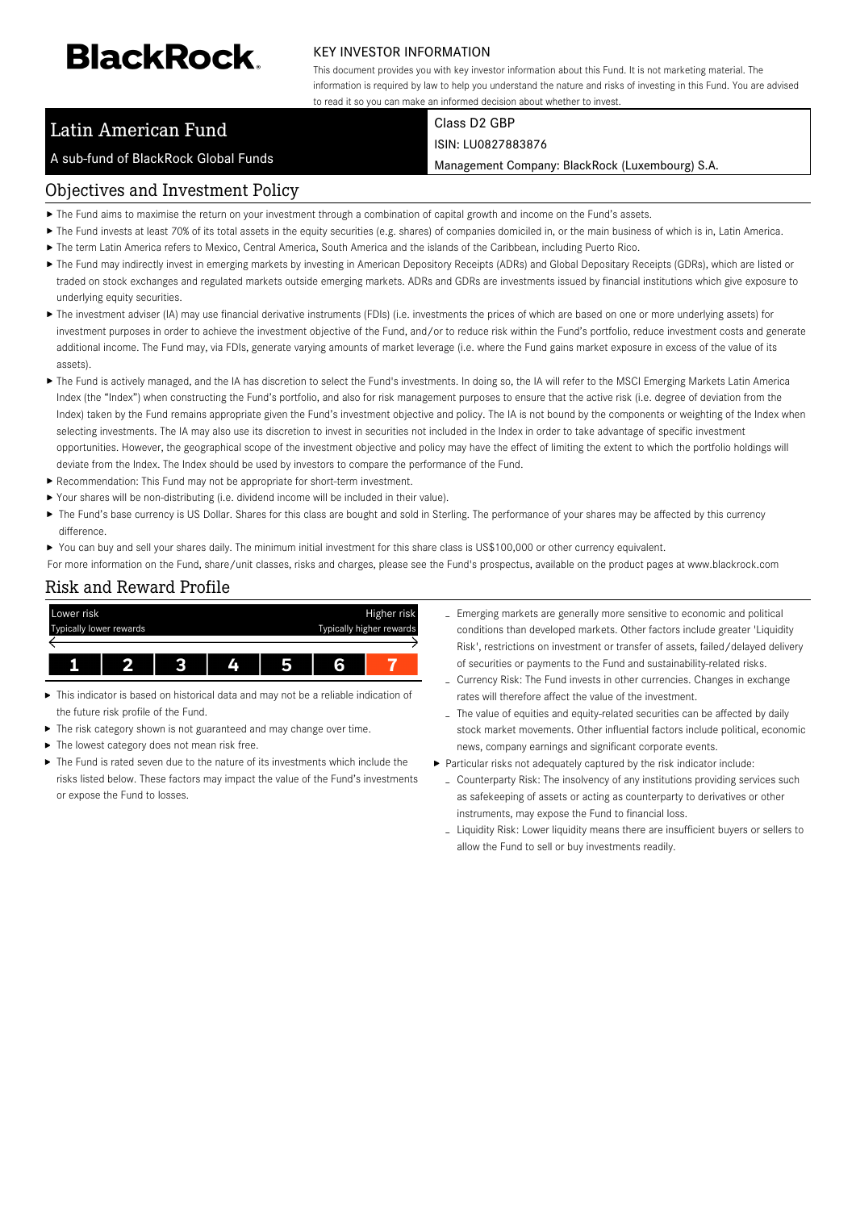# **BlackRock**

#### KEY INVESTOR INFORMATION

This document provides you with key investor information about this Fund. It is not marketing material. The information is required by law to help you understand the nature and risks of investing in this Fund. You are advised to read it so you can make an informed decision about whether to invest.

## Latin American Fund

A sub-fund of BlackRock Global Funds

Class D2 GBP ISIN: LU0827883876

Management Company: BlackRock (Luxembourg) S.A.

### Objectives and Investment Policy

- The Fund aims to maximise the return on your investment through a combination of capital growth and income on the Fund's assets.
- ▶ The Fund invests at least 70% of its total assets in the equity securities (e.g. shares) of companies domiciled in, or the main business of which is in, Latin America.
- The term Latin America refers to Mexico, Central America, South America and the islands of the Caribbean, including Puerto Rico.
- ▶ The Fund may indirectly invest in emerging markets by investing in American Depository Receipts (ADRs) and Global Depositary Receipts (GDRs), which are listed or traded on stock exchanges and regulated markets outside emerging markets. ADRs and GDRs are investments issued by financial institutions which give exposure to underlying equity securities.
- ▶ The investment adviser (IA) may use financial derivative instruments (FDIs) (i.e. investments the prices of which are based on one or more underlying assets) for investment purposes in order to achieve the investment objective of the Fund, and/or to reduce risk within the Fund's portfolio, reduce investment costs and generate additional income. The Fund may, via FDIs, generate varying amounts of market leverage (i.e. where the Fund gains market exposure in excess of the value of its assets).
- ▶ The Fund is actively managed, and the IA has discretion to select the Fund's investments. In doing so, the IA will refer to the MSCI Emerging Markets Latin America Index (the "Index") when constructing the Fund's portfolio, and also for risk management purposes to ensure that the active risk (i.e. degree of deviation from the Index) taken by the Fund remains appropriate given the Fund's investment objective and policy. The IA is not bound by the components or weighting of the Index when selecting investments. The IA may also use its discretion to invest in securities not included in the Index in order to take advantage of specific investment opportunities. However, the geographical scope of the investment objective and policy may have the effect of limiting the extent to which the portfolio holdings will deviate from the Index. The Index should be used by investors to compare the performance of the Fund.
- Recommendation: This Fund may not be appropriate for short-term investment.
- Your shares will be non-distributing (i.e. dividend income will be included in their value).
- ▶ The Fund's base currency is US Dollar. Shares for this class are bought and sold in Sterling. The performance of your shares may be affected by this currency difference.

▶ You can buy and sell your shares daily. The minimum initial investment for this share class is US\$100,000 or other currency equivalent.

For more information on the Fund, share/unit classes, risks and charges, please see the Fund's prospectus, available on the product pages at www.blackrock.com

#### Risk and Reward Profile



- This indicator is based on historical data and may not be a reliable indication of the future risk profile of the Fund.
- ь The risk category shown is not guaranteed and may change over time.
- ▶ The lowest category does not mean risk free.
- The Fund is rated seven due to the nature of its investments which include the risks listed below. These factors may impact the value of the Fund's investments or expose the Fund to losses.
- Emerging markets are generally more sensitive to economic and political conditions than developed markets. Other factors include greater 'Liquidity Risk', restrictions on investment or transfer of assets, failed/delayed delivery of securities or payments to the Fund and sustainability-related risks.
- Currency Risk: The Fund invests in other currencies. Changes in exchange rates will therefore affect the value of the investment.
- The value of equities and equity-related securities can be affected by daily stock market movements. Other influential factors include political, economic news, company earnings and significant corporate events.
- Particular risks not adequately captured by the risk indicator include:
- Counterparty Risk: The insolvency of any institutions providing services such as safekeeping of assets or acting as counterparty to derivatives or other instruments, may expose the Fund to financial loss.
- Liquidity Risk: Lower liquidity means there are insufficient buyers or sellers to allow the Fund to sell or buy investments readily.